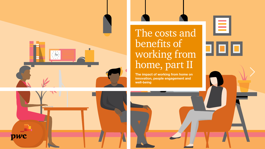

# The costs and benefits of working from home, part II

E

**The impact of working from home on innovation, people engagement and well-being**

pwc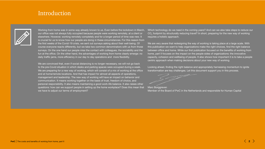# Introduction



Working from home was in some way already known to us. Even before the lockdown in March, our office was not always fully occupied because people were working remotely, at a client or elsewhere. However, working remotely completely and for a longer period of time was new. It is crucial for us to know how our people are doing in these circumstances. For this reason from the first weeks of the Covid-19 crisis, we sent out surveys asking about their well-being. Of course everyone reacts differently, but we take two common denominators with us from those surveys. On the one hand our people miss the contact with colleagues, the sociability and the fun at the office. On the other hand, the advantages of working from home clearly emerge: no daily traffic jams, more efficiency in our day to day operations and more flexibility.

We are convinced that, even if social distancing is no longer necessary, we will not go back to the pre-Covid situation in which desks and parking spaces were occupied during a week. We are preparing for a new way of working, which will consist of a mix of working at the office and at home/remote locations. And that has impact for almost all aspects of operations, management and leadership. The new way of working will have an impact on behavior and communication. It means working together on the basis of trust, freedom of choice, and personal responsibility. It also means maintaining a good work-life balance. It also raises other questions: how can we support people in setting up the home workplace? Does this mean that we have to adjust our terms of employment?

Which technology do we need in the coming years? And can we also take steps to reduce our  $\mathrm{CO}_2$  footprint by structurally reducing travel? In short, preparing for the new way of working requires a holistic approach.

We are very aware that redesigning the way of working is taking place at a large scale. With this publication we want to help organizations make the right choices, find the right balance between office and home. While our first publication focused on the benefits of working from home, part II focuses on the impact on the people sides of organizations: the innovative capacity, cohesion and wellbeing of people. It also shows how important it is to take a people centric approach when making decisions about your new way of working.

Looking ahead, finding the right balance and appropriately harnessing momentum to ignite transformation are key challenges. Let this document support you in this process.

Marc Borggreven Member of the Board of PwC in the Netherlands and responsible for Human Capital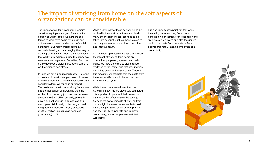# The impact of working from home on the soft aspects of organizations can be considerable

The impact of working from home remains an extremely topical subject. A substantial portion of Dutch (office) workers are still forced to work from home for a large part of the week to meet the demands of social distancing. But many organisations are seriously thinking about changing their way of working permanently. After all, we have seen that working from home during the pandemic went very well in general. Benefiting from the highly developed digital infrastructure, a lot of work continued seamlessly.

In June we set out to research how – in terms of costs and benefits – a permanent increase in working from home would influence overall societal welfare. We found in our report The costs and benefits of working from home that the net benefit of increasing the time worked from home by just one day per week amounts to  $\epsilon$  3.9 billion annually, primarily driven by cost savings to companies and employees. Additionally, this change could bring about a reduction in CO<sub>2</sub> emissions of 605.5 million kgs per year, from less (commuting) traffic.

While a large part of these savings could be realised in the short term, there are clearly many other softer effects that need to be taken into account, such as those related to company culture, collaboration, innovation, and (mental) health.

In this follow up research we have quantified the impact of working from home on innovation, people engagement and wellbeing. We have done this to give stronger evidence to the indications that working from home has benefits, but also costs. Through this research, we estimate that the costs from these softer effects could be as much as € 1.5 billion per year.

While these costs seem lower than the € 3.9 billion savings we previously estimated, it is important to point out that these costs cannot just be offset against the savings. Many of the softer impacts of working from home might be slower to realise, but could have a longer lasting effect on companies and their ability to innovate and improve productivity, and on employees and their well-being.

It is also important to point out that while the savings from working from home benefits a wider section of the economy (the employers, employees and also the general public), the costs from the softer effects disproportionately impacts employers and productivity.

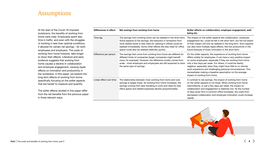# Assumptions

At the start of the Covid-19 imposed lockdowns, the benefits of working from home were clear. Employees spent less time in traffic, and even with the struggles of working in less than optimal conditions, it allowed for certain net savings - for both employees and employers. The costs of working from home however, take longer to show their effects. Literature and early evidence suggests that working from home causes a decline in collaboration and employee engagement, causing ripple effects on innovation and productivity in the workplace. In this paper, we explore the long term effects of working from home, specifically focusing on the softer aspects that are harder to measure and quantify.

The softer effects studied in this paper differ from the net benefits from the previous paper in three relevant ways.

| Differences in effect   | Net savings from working from home                                                                                                                                                                                                                                                                                               | Softer effects on collaboration, employee engagement, well-<br>being etc.                                                                                                                                                                                                                                                                                                                                                                                                               |  |
|-------------------------|----------------------------------------------------------------------------------------------------------------------------------------------------------------------------------------------------------------------------------------------------------------------------------------------------------------------------------|-----------------------------------------------------------------------------------------------------------------------------------------------------------------------------------------------------------------------------------------------------------------------------------------------------------------------------------------------------------------------------------------------------------------------------------------------------------------------------------------|--|
| Time lag                | The savings from working home can be realised in the short term.<br>Some aspects of the savings, like reduction in emissions from<br>work related travel or less need for catering in offices could be<br>realised immediately. Some other effects like less need for office<br>space could also be realised relatively quickly. | The impact on the softer aspects like collaboration, employee<br>engagement etc, could be felt in the short term, but the full extent<br>of their impact will only be realised in the long term. Such aspects<br>can also have multiple ripple effects, like lost productivity in the<br>future because of lower innovation in the short term.                                                                                                                                          |  |
| Difference per person   | The savings that come from working from home are different for<br>different kinds of companies (larger companies might benefit<br>more, for example). However, the difference mostly comes from<br>scale - most employers and employees are still expected to have<br>the same type of savings.                                  | On the softer aspects, the experience of working from home<br>differs widely for employees. It can have a very positive impact<br>on some employees, especially if they are working from home<br>only a few days per week. For others, it could be starkly<br>negative, especially when they might have little to no remote<br>work experience and challenging personal circumstances. This<br>necessitates making a baseline assumption on the average<br>impact of working from home. |  |
| Linear effect over time | The relationship between more working from home and cost<br>savings is largely linear. As working from home increases, the<br>savings coming from less travelling to work and need for less<br>office space and related expenses decline proportionately.                                                                        | In contrast to net savings, the impact of working from home<br>on the softer aspects is not linear. When working from home<br>intermittently, or just a few days per week, the impact on<br>collaboration and engagement is relatively low. As the number<br>of days away from a common office increases, the costs from<br>decreased collaboration and employee motivation could increase<br>rapidly.                                                                                  |  |

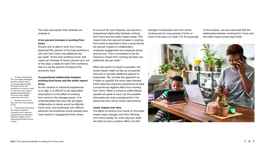The main assumption that underlies our analysis is:

#### **A ten percent increase in working from home**

Anyone who is able to work from home (assumed fifty percent of the total workforce<sup>1</sup>) will work from home one additional day per week<sup>2</sup>. At the total workforce level, that means an increase of twenty percent (one out of five days a week) for half of the workforce, that is a net ten percent increase at the economic level.

### **A proportional relationship between working from home and the softer impact areas**

As the variation in individual experiences is so high, it is difficult to set reasonable assumptions on the effect of working from home on the average person. It is understandable that jobs that are highly collaborative in nature would be affected much more, and employees with difficult personal circumstances would possibly face more decline in engagement than others.

To account for such disparity, we assume a proportional relationship between working from home and the softer impact areas. This means that a ten percent increase in working from home is assumed to have a proportional, ten percent impact on collaboration, employee engagement and employee stress and burnout. This is considered to be the maximum impact from working remotely one additional day per week<sup>3</sup>.

While this extent of impact is possible, the actual impact might be less as companies intervene or provide additional support to employees. Yet, we take this approach as it helps us quantify the worst case scenario which assumes everyone experiences at least a proportional negative effect from working from home. When it comes to softer effects upsides are great to have, but the possible downsides are more consequential in the sense that they call for timely interventions.

#### **Linear impact over time**

The effect of working from home on the softer impact areas changes over time. Working from home initially, for a few days per week are likely to have a positive effect, but this

changes if employees work from home continuously for long periods of time, or most of the days in a week. For the purposes

of this analysis, we have assumed that the relationship between working from home and the softer impact areas stays linear.



2 One day over the time they work from home already (if any) 3 The second order effects (for instance, decline in innovation due to decline in collaboration) are estimated based on research on the

relationship between the two

metrics.

Surveys conducted by PwC and Global Workplace Analytics indicate that on an average approximately 50 percent of the total workforce of a country is able to work from home, [https://](https://globalworkplaceanalytics.com/how-many-people-could-work-from-home) [globalworkplaceanalytics.](https://globalworkplaceanalytics.com/how-many-people-could-work-from-home) [com/how-many-people](https://globalworkplaceanalytics.com/how-many-people-could-work-from-home)[could-work-from-home](https://globalworkplaceanalytics.com/how-many-people-could-work-from-home)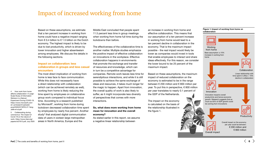# Impact of increased working from home

Based on these assumptions, we estimate that a ten percent increase in working from home could have a negative impact ranging from  $\epsilon$  0.4 billion to  $\epsilon$  1.5 billion on the Dutch economy. The highest impact is likely to be due to lost productivity, which is driven by lower innovation and higher absenteeism among employees. We discuss the details in the following sections.

### **Impact on collaboration: less collaboration in groups and less casual encounters**

The most direct implication of working from home is less face to face communication. While this does not necessarily have a direct relationship with collaboration (which can be achieved remotely as well), working from home is likely reducing the time spent by employees on collaborative group work compared to individual focus time. According to a research published by Microsoft<sup>4</sup>, working from home during lockdown decreased collaboration time spent by employees by nearly five percent. Another study<sup>5</sup> that analysed digital communication data of users in sixteen large metropolitan areas in North America, Europe and the

Middle East concluded that people spent 11.5 percent less time in group meetings when working from home full time during the lockdowns than before.

The effectiveness of the collaborative time is another matter. Multiple studies emphasize the positive impact of effective collaboration on innovations in the workplace. Effective collaboration happens in environments that promote the exchange and transfer of resources and knowledge, which can in turn be a competitive advantage for companies. Remote work leaves less time for serendipitous interactions, and while it is still possible to achieve the same exchange of ideas and resources, it takes much longer for the magic to happen. Apart from innovation, the overall quality of work is also likely to suffer, as it might incorporate less diversity of perspectives that comes with more interactions.

**So, what does more working from home mean for innovation and the overall economy?** 

As stated earlier in this report, we assume a negative linear relationship between

an increase in working from home and effective collaboration. This means that our assumption of a ten percent increase in working from home would lead to a ten percent decline in collaboration in the economy. That is the maximum impact possible - the real impact would likely be lower as companies would invest in tools that enable employees to interact and share ideas effectively. For this reason, we consider the lower bound to be 25 percent of the maximum impact.

Based on these assumptions, the maximum impact of reduced collaboration on the economy is estimated to be in the range between € 200 million and € 800 million per year. To put this in perspective, € 800 million per year translates to nearly 0.1 percent of the GDP of the Netherlands.

The impact on the economy is calculated on the basis of the relationship illustrated in the figure 1.

#### **Figure 1: Impact of working from home on collaboration**



4 How work from home affects collaboration: A Large-Scale Study of Information Workers in a Natural Experiment During COVID-19, [https://www.microsoft.com/](https://www.microsoft.com/en-us/research/uploads/prod/2020/07/NFW-27-Yang-Jaffe-et-al.pdf) [en-us/research/uploads/](https://www.microsoft.com/en-us/research/uploads/prod/2020/07/NFW-27-Yang-Jaffe-et-al.pdf) [prod/2020/07/NFW-27-Yang-](https://www.microsoft.com/en-us/research/uploads/prod/2020/07/NFW-27-Yang-Jaffe-et-al.pdf)

5 Collaborating during coronavirus: The impact of Covid-19 on the nature of work, [https://www.nber.org/](https://www.nber.org/papers/w27612.pdf) [papers/w27612.pdf,](https://www.nber.org/papers/w27612.pdf) July 2020

[Jaffe-et-al.pdf](https://www.microsoft.com/en-us/research/uploads/prod/2020/07/NFW-27-Yang-Jaffe-et-al.pdf)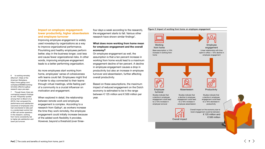### **Impact on employee engagement: lower productivity, higher absenteeism and employee turnover**

Improving employee engagement is widely used nowadays by organizations as a way to improve organizational performance. Flourishing and healthy employees perform better, stay in the business longer, cost less and cause fewer organizational risks. In other words, improving employee engagement leads to a better performing organization.

6 Is working remotely effective?, State of the American Workplace, [https://www.gallup.com/](https://www.gallup.com/workplace/283985/working-remotely-effective-gallup-research-says-yes.aspx) [workplace/283985/working](https://www.gallup.com/workplace/283985/working-remotely-effective-gallup-research-says-yes.aspx)[remotely-effective-gallup](https://www.gallup.com/workplace/283985/working-remotely-effective-gallup-research-says-yes.aspx)[research-says-yes.aspx](https://www.gallup.com/workplace/283985/working-remotely-effective-gallup-research-says-yes.aspx)

7 Though fewer, there are contrasting research findings as well. Frequently quoted among them is Bloom et al. (2015), that compared the performance and satisfaction outcomes of employees who had volunteered to take part in a randomised control trial of 994 call centre operators. In this research, working from home consistently led to higher job satisfaction and lower job turnover.

As more employees start working from home, employees' sense of cohesiveness with teams could fall. Employees might find it harder to stay connected to their teams through virtual meetings, while feeling part of a community is a crucial influencer on motivation and engagement.

When explored in detail, the relationship between remote work and employee engagement is complex. According to a research from Gallup<sup>6</sup>, as workers increase the time they work remotely, the employee engagement could initially increase because of the added work flexibility it provides. However, beyond a threshold (over threefour days a week according to the research), the engagement starts to fall. Various other research have shown similar findings<sup>7</sup>.

**What does more working from home mean for employee engagement and the overall economy?** 

On employee engagement as well, the assumption is that a ten percent increase in working from home would lead to a maximum engagement decline of ten percent. A decline in employee engagement causes a drop in productivity but also an increase in employee turnover and absenteeism, further affecting overall productivity.

Based on these assumptions, the maximum impact of reduced engagement on the Dutch economy is estimated to be in the range between € 125 million and € 500 million per year.

#### Working from home Employee turnover Absenteeism Productivity Employee engagement Base assumption: a 10% increase in working from home Studies indicate that a decline in employee engagement could lead to a 15% increase in employee turnover Studies indicate that a decline in employee engagement could lead to a 16% increase in employee absenteeism Studies indicate that a decline in employee engagement could lead to a 16% decrease in productivity Linear relationship with time spent in office =  $10\%$  decline in employee engagement Overall impact on the economy due to lower engagement could be between: € 125 million and

Overall impact

€ 500 million

**Figure 2: Impact of working from home on employee engagement**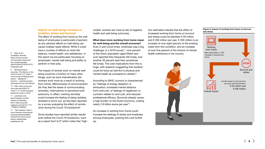#### **Impact on well-being: increase in isolation, stress and burnout**

The effect of working from home on the well being of employees is particularly important, as any adverse effects on well-being can cause multiple ripple effects. While it could have a number of effects on work-life balance, overall health, and satisfaction, in this report we are particularly focusing on employees' mental well being and ability to perform in their jobs.

anywhere: The effects on the world of work, ILO, [https://](https://www.ilo.org/wcmsp5/groups/public/---dgreports/---dcomm/---publ/documents/publication/wcms_544138.pdf) [www.ilo.org/wcmsp5/groups/](https://www.ilo.org/wcmsp5/groups/public/---dgreports/---dcomm/---publ/documents/publication/wcms_544138.pdf) [dcomm/---publ/documents/](https://www.ilo.org/wcmsp5/groups/public/---dgreports/---dcomm/---publ/documents/publication/wcms_544138.pdf) [publication/wcms\\_544138.pdf](https://www.ilo.org/wcmsp5/groups/public/---dgreports/---dcomm/---publ/documents/publication/wcms_544138.pdf) 10 CBS, [https://www.cbs.](https://www.cbs.nl/en-gb/news/2020/13/nearly-1-in-10-dutch-people-frequently-lonely-in-2019) [nl/en-gb/news/2020/13/](https://www.cbs.nl/en-gb/news/2020/13/nearly-1-in-10-dutch-people-frequently-lonely-in-2019) [nearly-1-in-10-dutch-people](https://www.cbs.nl/en-gb/news/2020/13/nearly-1-in-10-dutch-people-frequently-lonely-in-2019)[frequently-lonely-in-2019](https://www.cbs.nl/en-gb/news/2020/13/nearly-1-in-10-dutch-people-frequently-lonely-in-2019) [sagepub.com/doi/10.1177/](https://journals.sagepub.com/doi/10.1177/1745691614568352)  The impact of remote work on mental wellbeing could be a function of many other things, such as work intensification (do workers work more as a result of working from home), effectiveness of communication (do they feel the stress of communicating remotely), interruptions or perceived work autonomy. In effect, working remotely could increase the feeling of being isolated, stressed or burnt out, as has been reported by a survey evaluating the effect of remote work during the Covid-19 lockdowns<sup>8</sup>.

> Some studies have reported similar results even before the Covid-19 lockdowns, such as a report from ILO<sup>9</sup> which notes that 'high

mobile' workers are more at risk of negative health and well-being outcomes.

## **What does more working from home mean for well-being and the overall economy?**

Even in pre-Covid times, loneliness was a big challenge. In a 2019 survey<sup>10</sup>, nine percent of the Dutch population aged fifteen and over reported they frequently felt lonely, and another 26 percent said they sometimes felt lonely. The cost implications from this is huge, with research suggesting that isolation could be twice as harmful to physical and mental health as compared to obesity<sup>11</sup>.

According to WHO, burnout is characterized by "feelings of energy depletion or exhaustion; increased mental distance from one's job, or feelings of negativism or cynicism related to one's job; and reduced professional efficacy. Burnouts already cause a high burden on the Dutch economy, costing nearly 2.8 billion euros per year<sup>12</sup>.

An increase in working from home could increase the feelings of stress and loneliness among employees, pushing this cost further up.

Our estimates indicate that the effect of increased working from home on burnout and stress could be between € 50 million and € 200 million per year. € 200 million is an increase of over eight percent of the existing costs from this condition, and an increase of over five percent of the finance of mental health institutions in the country.

#### **Figure 3: Impact of working from home on burnout and stress**



**PwC**  $\vert$  The costs and benefits of working from home, part II  $\langle 8 \rangle$ 

8 State of the Candidate, Monster, [https://hiring.monster.](https://hiring.monster.com/employer-resources/wp-content/uploads/sites/2/2020/01/2020-SOTC-Infographic.pdf) [com/employer-resources/](https://hiring.monster.com/employer-resources/wp-content/uploads/sites/2/2020/01/2020-SOTC-Infographic.pdf) [wp-content/uploads/](https://hiring.monster.com/employer-resources/wp-content/uploads/sites/2/2020/01/2020-SOTC-Infographic.pdf) [sites/2/2020/01/2020-SOTC-](https://hiring.monster.com/employer-resources/wp-content/uploads/sites/2/2020/01/2020-SOTC-Infographic.pdf)

[Infographic.pdf](https://hiring.monster.com/employer-resources/wp-content/uploads/sites/2/2020/01/2020-SOTC-Infographic.pdf) 9 Working anytime,

[public/---dgreports/---](https://www.ilo.org/wcmsp5/groups/public/---dgreports/---dcomm/---publ/documents/publication/wcms_544138.pdf)

11 Loneliness and Social Isolation as Risk Factors for Mortality, 2015, [https://journals.](https://journals.sagepub.com/doi/10.1177/1745691614568352)

[1745691614568352](https://journals.sagepub.com/doi/10.1177/1745691614568352) 12 TNO research, [https://](https://www.rtlnieuws.nl/economie/business/artikel/4916891/werknemers-met-burnout-kosten-nederlandse-bedrijfsleven-28) [www.rtlnieuws.nl/economie/](https://www.rtlnieuws.nl/economie/business/artikel/4916891/werknemers-met-burnout-kosten-nederlandse-bedrijfsleven-28) [business/artikel/4916891/](https://www.rtlnieuws.nl/economie/business/artikel/4916891/werknemers-met-burnout-kosten-nederlandse-bedrijfsleven-28) [werknemers-met-burnout](https://www.rtlnieuws.nl/economie/business/artikel/4916891/werknemers-met-burnout-kosten-nederlandse-bedrijfsleven-28)[kosten-nederlandse](https://www.rtlnieuws.nl/economie/business/artikel/4916891/werknemers-met-burnout-kosten-nederlandse-bedrijfsleven-28)[bedrijfsleven-28](https://www.rtlnieuws.nl/economie/business/artikel/4916891/werknemers-met-burnout-kosten-nederlandse-bedrijfsleven-28)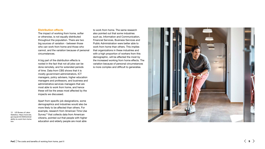#### **Distribution effects**

The impact of working from home, softer or otherwise, is not equally distributed throughout the population. There are two big sources of variation - between those who can work from home and those who cannot, and the variation because of personal circumstances.

A big part of the distribution effects is rooted in the fact that not all jobs can be done remotely, and for extended periods of time. Data from CBS shows that it is mostly government administrators, ICT managers, policy advisers, higher education managers and professors, and business and administrative services managers that are most able to work from home, and hence these will be the areas most affected by the impacts we discussed.

Apart from specific job designations, some demographics and industries would also be more likely to be affected than others. For example, research from American Time Use Survey<sup>13</sup> that collects data from American citizens, pointed out that people with higher education and elderly people are most able

to work from home. The same research also pointed out that some industries such as, Information and Communication, Financial Services, Business Services and Public Administration were better able to work from home than others. This implies that organizations in these industries and with a high proportion of workers from this demographic, will be affected the most by the increased working from home effects. The variation because of personal circumstances is more complex and difficult to generalise.



Statistics, [https://www.bls.](https://www.bls.gov/opub/mlr/2020/article/ability-to-work-from-home.htm) [gov/opub/mlr/2020/article/](https://www.bls.gov/opub/mlr/2020/article/ability-to-work-from-home.htm) [ability-to-work-from-home.](https://www.bls.gov/opub/mlr/2020/article/ability-to-work-from-home.htm) [htm](https://www.bls.gov/opub/mlr/2020/article/ability-to-work-from-home.htm)

13 US Bureau of Labor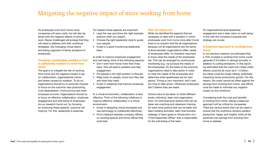# Mitigating the negative impact of more working from home

As employees work from home more, companies will save costs, but will also be faced with the negative effects of remote work. Newer challenges will emerge that they will need to address with their workforce strategies, like managing virtual teams and being cognizant of family situations of employees.

### **Creating a sustainable workforce that is sufficiently resilient to work from home**

The goal is to mitigate the risk of working from home and the negative impact it has on collaboration, organizational culture and stress caused by isolation. To do so, organizations should try to avoid the impulse to focus on the outcome: less productivity, more absenteeism, more burnout and more employee turnover. Organizations should try to focus on effective collaboration, employee engagement and well-being of employees. As our research found out, by focusing on improving these aspects, outcome will improve. For this, leadership is essential.

For leaders these aspects are important:

- Lead the way and show the right example, practice what you preach;
- Choose the right leadership style to quide your people;
- Invest in a good functioning leadership team.

In order to improve employee engagement and well-being, think of the following aspects:

- Don't work from home more than three days. This will lead to isolation and less engagement;
- Put people in the right position to flourish;
- Keep track on people, know how they feel and what they need;
- Invest in initiatives that improve employee engagement.

In a virtual environment, collaboration is less effective. Think of the following initiatives to improve effective collaboration in a virtual environment:

- Invest in designing virtual processes and use technology to collaborate effectively;
- Find a balance between company offices, co-working spaces and home offices that suits best.

#### **Plan-do-check-act**

While we identified the aspects that are necessary to deal with a situation in which employees work from home more after Covid, there is no solution that fits all organizations because not all organizations are the same. Culture between organizations differ, needs of employees differ. It's therefore important to know what the needs of the employees are. This can be arranged by continuously monitoring (e.g. via surveys) the needs of the employees. On the basis of the outcome organizations need to take action in order to meet the needs of the employees and determine what spearheads are for next period. Timing is very important, don't wait too long to take action. Otherwise employees don't believe they are heard.

Actions have to be taken on three different levels: individual, team and organization level. On individual level actions that can be taken are coaching and classroom training. On team level actions that can be taken are: team building activities, team thermometer, redesign of team goals or introduction of a 'Chief Happiness Officer' that is responsible for the well-being of the team.

On organizational level leadership engagement and a clear vision on well-being in line with the company's purpose and strategy are crucial.

### **A balanced approach to working from home**

In our previous research we estimated that a 10% increase in working from home could generate € 3.9 billion in savings annually, in addition to cutting emissions. In this report, we estimated that the costs from these softer effects could be as much as  $\epsilon$  1.5 billion. but these could be longer lasting, potentially impacting future productivity growth. For this reason, the costs cannot be offset against the savings from working from home, and efforts must be made to minimise any negative impact on the workforce.

Considering both the cost and benefits of working from home, taking a balanced approach will be critical for companies. There are various levers that can be used to ensure that the workforce remains resilient, productive, happy and healthy, while all the potential cost savings from working from home is realised.